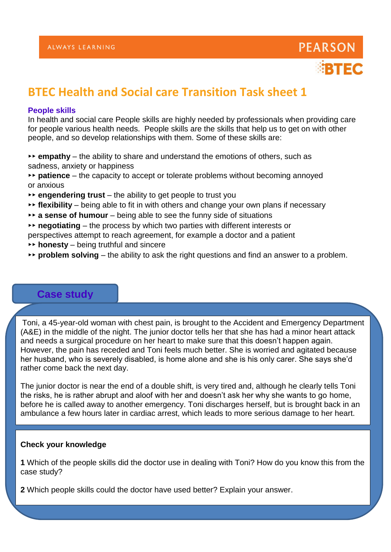

# **BTEC Health and Social care Transition Task sheet 1**

## **People skills**

In health and social care People skills are highly needed by professionals when providing care for people various health needs. People skills are the skills that help us to get on with other people, and so develop relationships with them. Some of these skills are:

- ▸▸ **empathy**  the ability to share and understand the emotions of others, such as sadness, anxiety or happiness
- ▸▸ **patience**  the capacity to accept or tolerate problems without becoming annoyed or anxious
- ▸▸ **engendering trust**  the ability to get people to trust you
- ▸▸ **flexibility**  being able to fit in with others and change your own plans if necessary
- ▸▸ **a sense of humour**  being able to see the funny side of situations
- ▸▸ **negotiating**  the process by which two parties with different interests or
- perspectives attempt to reach agreement, for example a doctor and a patient
- ▸▸ **honesty**  being truthful and sincere
- ▸▸ **problem solving**  the ability to ask the right questions and find an answer to a problem.

# **Case study**

Toni, a 45-year-old woman with chest pain, is brought to the Accident and Emergency Department (A&E) in the middle of the night. The junior doctor tells her that she has had a minor heart attack and needs a surgical procedure on her heart to make sure that this doesn't happen again. However, the pain has receded and Toni feels much better. She is worried and agitated because her husband, who is severely disabled, is home alone and she is his only carer. She says she'd rather come back the next day.

The junior doctor is near the end of a double shift, is very tired and, although he clearly tells Toni the risks, he is rather abrupt and aloof with her and doesn't ask her why she wants to go home, before he is called away to another emergency. Toni discharges herself, but is brought back in an ambulance a few hours later in cardiac arrest, which leads to more serious damage to her heart.

### **Check your knowledge**

**1** Which of the people skills did the doctor use in dealing with Toni? How do you know this from the case study?

**2** Which people skills could the doctor have used better? Explain your answer.